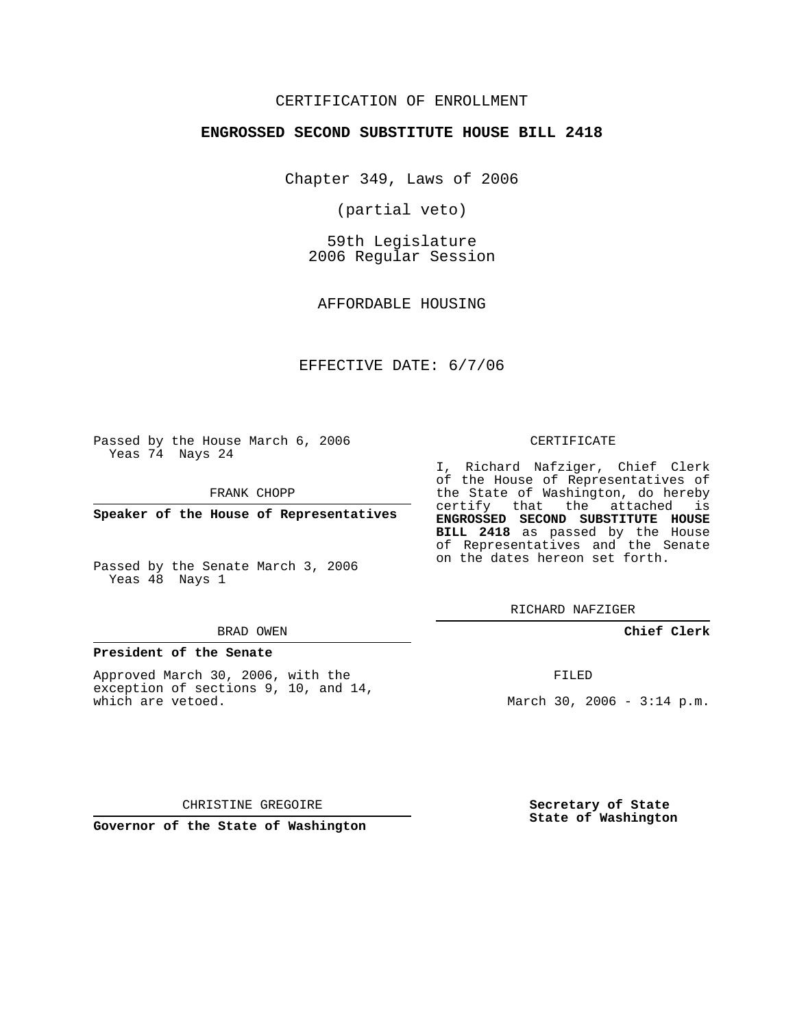# CERTIFICATION OF ENROLLMENT

### **ENGROSSED SECOND SUBSTITUTE HOUSE BILL 2418**

Chapter 349, Laws of 2006

(partial veto)

59th Legislature 2006 Regular Session

AFFORDABLE HOUSING

EFFECTIVE DATE: 6/7/06

Passed by the House March 6, 2006 Yeas 74 Nays 24

FRANK CHOPP

**Speaker of the House of Representatives**

Passed by the Senate March 3, 2006 Yeas 48 Nays 1

#### BRAD OWEN

## **President of the Senate**

Approved March 30, 2006, with the exception of sections 9, 10, and 14, which are vetoed.

#### CERTIFICATE

I, Richard Nafziger, Chief Clerk of the House of Representatives of the State of Washington, do hereby certify that the attached is **ENGROSSED SECOND SUBSTITUTE HOUSE BILL 2418** as passed by the House of Representatives and the Senate on the dates hereon set forth.

RICHARD NAFZIGER

**Chief Clerk**

FILED

March 30, 2006 -  $3:14$  p.m.

CHRISTINE GREGOIRE

**Governor of the State of Washington**

**Secretary of State State of Washington**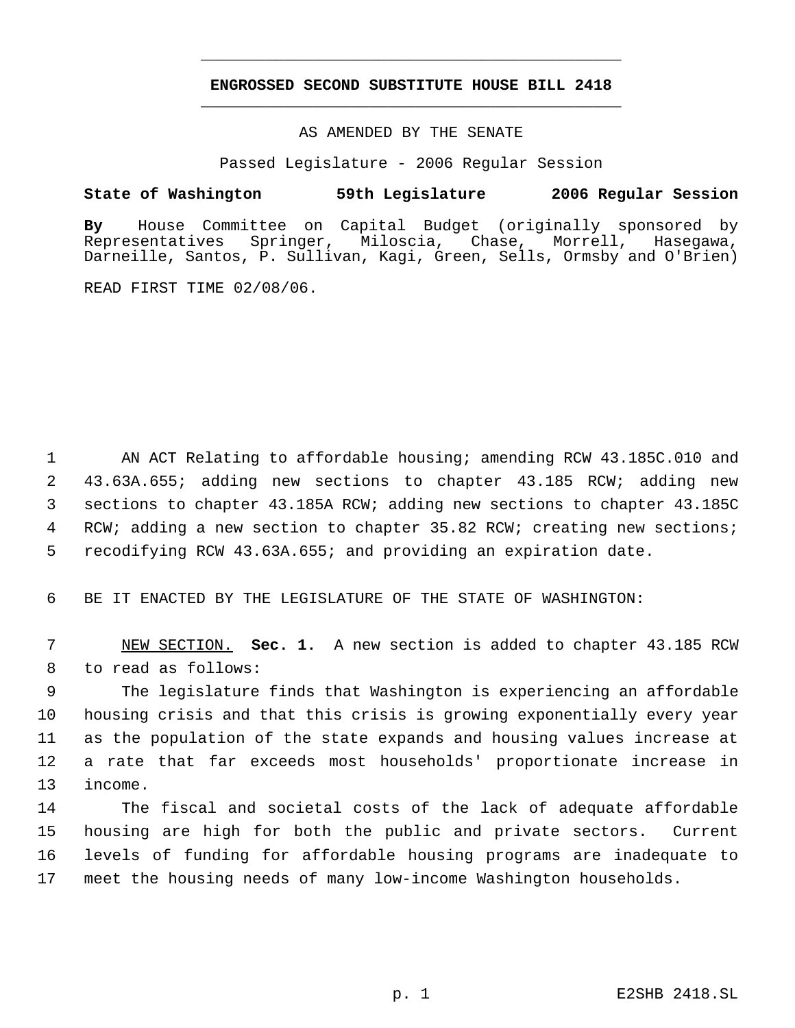# **ENGROSSED SECOND SUBSTITUTE HOUSE BILL 2418** \_\_\_\_\_\_\_\_\_\_\_\_\_\_\_\_\_\_\_\_\_\_\_\_\_\_\_\_\_\_\_\_\_\_\_\_\_\_\_\_\_\_\_\_\_

\_\_\_\_\_\_\_\_\_\_\_\_\_\_\_\_\_\_\_\_\_\_\_\_\_\_\_\_\_\_\_\_\_\_\_\_\_\_\_\_\_\_\_\_\_

### AS AMENDED BY THE SENATE

Passed Legislature - 2006 Regular Session

## **State of Washington 59th Legislature 2006 Regular Session**

**By** House Committee on Capital Budget (originally sponsored by Representatives Springer, Miloscia, Chase, Morrell, Hasegawa, Darneille, Santos, P. Sullivan, Kagi, Green, Sells, Ormsby and O'Brien)

READ FIRST TIME 02/08/06.

1 AN ACT Relating to affordable housing; amending RCW 43.185C.010 and 2 43.63A.655; adding new sections to chapter 43.185 RCW; adding new 3 sections to chapter 43.185A RCW; adding new sections to chapter 43.185C 4 RCW; adding a new section to chapter 35.82 RCW; creating new sections; 5 recodifying RCW 43.63A.655; and providing an expiration date.

6 BE IT ENACTED BY THE LEGISLATURE OF THE STATE OF WASHINGTON:

 7 NEW SECTION. **Sec. 1.** A new section is added to chapter 43.185 RCW 8 to read as follows:

 The legislature finds that Washington is experiencing an affordable housing crisis and that this crisis is growing exponentially every year as the population of the state expands and housing values increase at a rate that far exceeds most households' proportionate increase in 13 income.

 The fiscal and societal costs of the lack of adequate affordable housing are high for both the public and private sectors. Current levels of funding for affordable housing programs are inadequate to meet the housing needs of many low-income Washington households.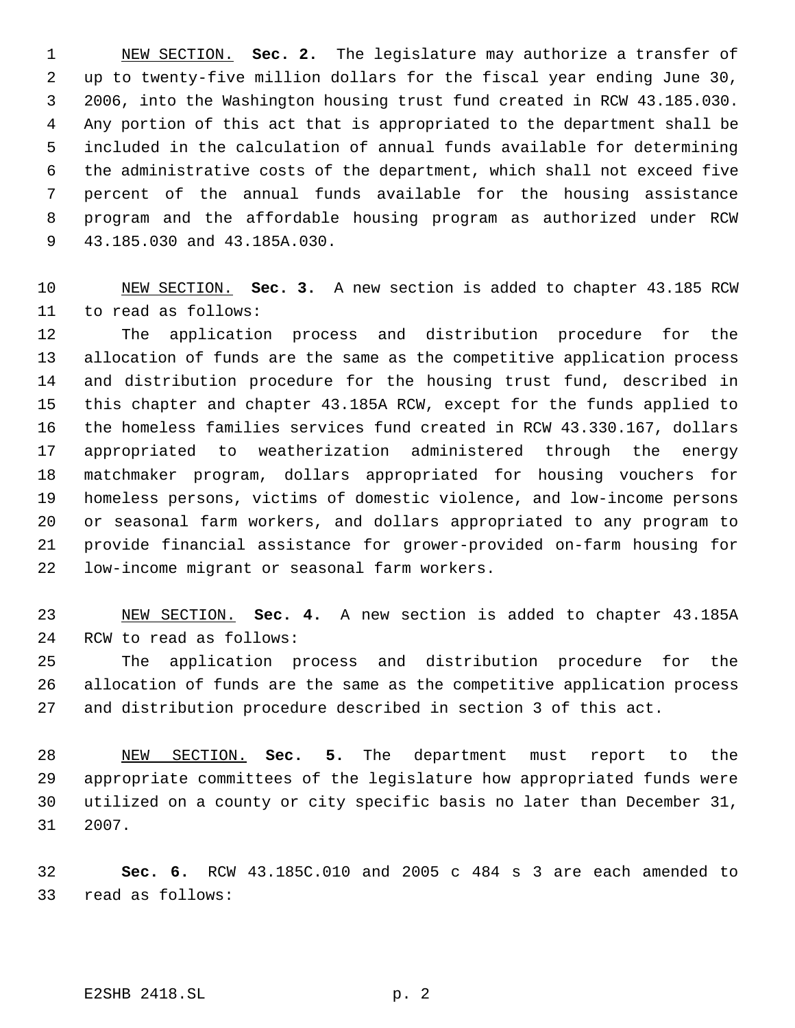NEW SECTION. **Sec. 2.** The legislature may authorize a transfer of up to twenty-five million dollars for the fiscal year ending June 30, 2006, into the Washington housing trust fund created in RCW 43.185.030. Any portion of this act that is appropriated to the department shall be included in the calculation of annual funds available for determining the administrative costs of the department, which shall not exceed five percent of the annual funds available for the housing assistance program and the affordable housing program as authorized under RCW 43.185.030 and 43.185A.030.

 NEW SECTION. **Sec. 3.** A new section is added to chapter 43.185 RCW to read as follows:

 The application process and distribution procedure for the allocation of funds are the same as the competitive application process and distribution procedure for the housing trust fund, described in this chapter and chapter 43.185A RCW, except for the funds applied to the homeless families services fund created in RCW 43.330.167, dollars appropriated to weatherization administered through the energy matchmaker program, dollars appropriated for housing vouchers for homeless persons, victims of domestic violence, and low-income persons or seasonal farm workers, and dollars appropriated to any program to provide financial assistance for grower-provided on-farm housing for low-income migrant or seasonal farm workers.

 NEW SECTION. **Sec. 4.** A new section is added to chapter 43.185A RCW to read as follows:

 The application process and distribution procedure for the allocation of funds are the same as the competitive application process and distribution procedure described in section 3 of this act.

 NEW SECTION. **Sec. 5.** The department must report to the appropriate committees of the legislature how appropriated funds were utilized on a county or city specific basis no later than December 31, 2007.

 **Sec. 6.** RCW 43.185C.010 and 2005 c 484 s 3 are each amended to read as follows:

E2SHB 2418.SL p. 2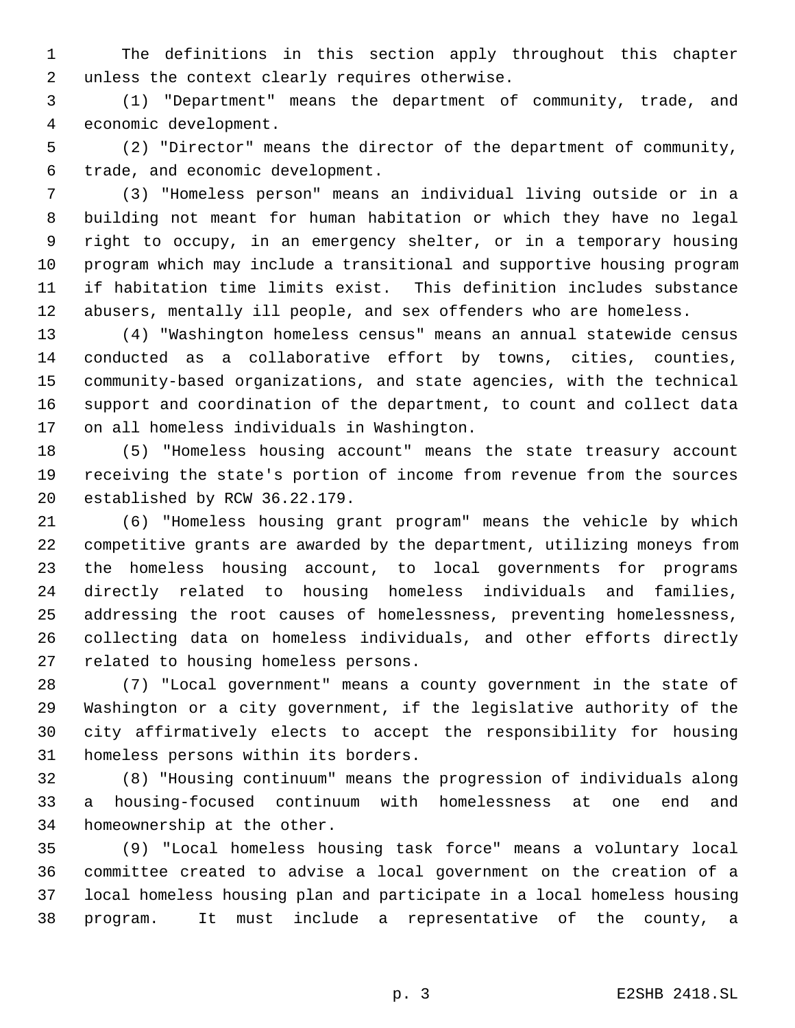The definitions in this section apply throughout this chapter unless the context clearly requires otherwise.

 (1) "Department" means the department of community, trade, and economic development.

 (2) "Director" means the director of the department of community, trade, and economic development.

 (3) "Homeless person" means an individual living outside or in a building not meant for human habitation or which they have no legal right to occupy, in an emergency shelter, or in a temporary housing program which may include a transitional and supportive housing program if habitation time limits exist. This definition includes substance abusers, mentally ill people, and sex offenders who are homeless.

 (4) "Washington homeless census" means an annual statewide census conducted as a collaborative effort by towns, cities, counties, community-based organizations, and state agencies, with the technical support and coordination of the department, to count and collect data on all homeless individuals in Washington.

 (5) "Homeless housing account" means the state treasury account receiving the state's portion of income from revenue from the sources established by RCW 36.22.179.

 (6) "Homeless housing grant program" means the vehicle by which competitive grants are awarded by the department, utilizing moneys from the homeless housing account, to local governments for programs directly related to housing homeless individuals and families, addressing the root causes of homelessness, preventing homelessness, collecting data on homeless individuals, and other efforts directly related to housing homeless persons.

 (7) "Local government" means a county government in the state of Washington or a city government, if the legislative authority of the city affirmatively elects to accept the responsibility for housing homeless persons within its borders.

 (8) "Housing continuum" means the progression of individuals along a housing-focused continuum with homelessness at one end and homeownership at the other.

 (9) "Local homeless housing task force" means a voluntary local committee created to advise a local government on the creation of a local homeless housing plan and participate in a local homeless housing program. It must include a representative of the county, a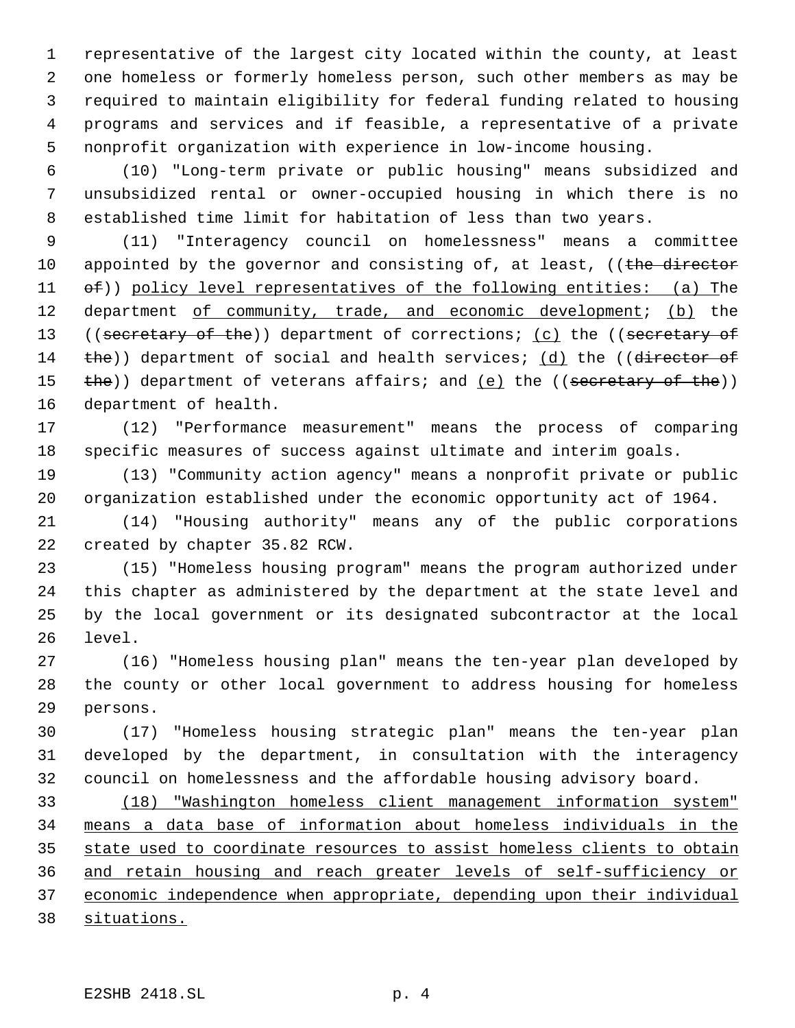representative of the largest city located within the county, at least one homeless or formerly homeless person, such other members as may be required to maintain eligibility for federal funding related to housing programs and services and if feasible, a representative of a private nonprofit organization with experience in low-income housing.

 (10) "Long-term private or public housing" means subsidized and unsubsidized rental or owner-occupied housing in which there is no established time limit for habitation of less than two years.

 (11) "Interagency council on homelessness" means a committee 10 appointed by the governor and consisting of, at least, ((the director 11 of)) policy level representatives of the following entities: (a) The 12 department of community, trade, and economic development; (b) the 13 ((secretary of the)) department of corrections; (c) the ((secretary of 14 the)) department of social and health services; (d) the ((director of 15 the)) department of veterans affairs; and (e) the ((secretary of the)) department of health.

 (12) "Performance measurement" means the process of comparing specific measures of success against ultimate and interim goals.

 (13) "Community action agency" means a nonprofit private or public organization established under the economic opportunity act of 1964.

 (14) "Housing authority" means any of the public corporations created by chapter 35.82 RCW.

 (15) "Homeless housing program" means the program authorized under this chapter as administered by the department at the state level and by the local government or its designated subcontractor at the local level.

 (16) "Homeless housing plan" means the ten-year plan developed by the county or other local government to address housing for homeless persons.

 (17) "Homeless housing strategic plan" means the ten-year plan developed by the department, in consultation with the interagency council on homelessness and the affordable housing advisory board.

 (18) "Washington homeless client management information system" means a data base of information about homeless individuals in the state used to coordinate resources to assist homeless clients to obtain and retain housing and reach greater levels of self-sufficiency or economic independence when appropriate, depending upon their individual situations.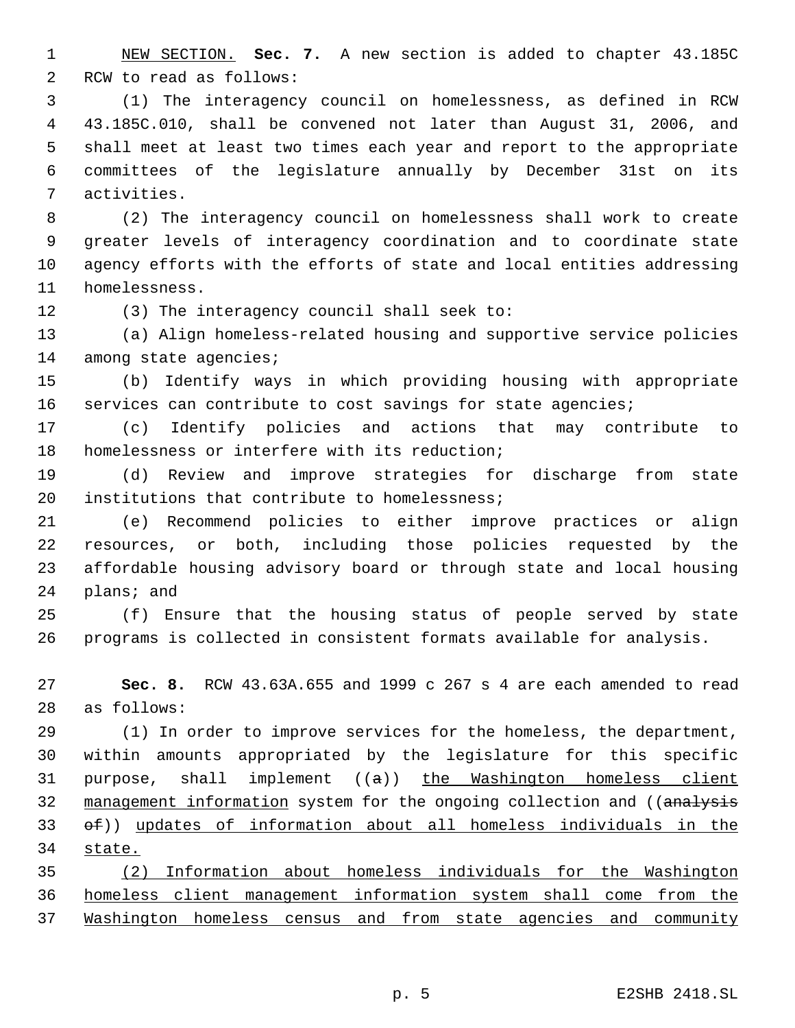NEW SECTION. **Sec. 7.** A new section is added to chapter 43.185C RCW to read as follows:

 (1) The interagency council on homelessness, as defined in RCW 43.185C.010, shall be convened not later than August 31, 2006, and shall meet at least two times each year and report to the appropriate committees of the legislature annually by December 31st on its activities.

 (2) The interagency council on homelessness shall work to create greater levels of interagency coordination and to coordinate state agency efforts with the efforts of state and local entities addressing homelessness.

(3) The interagency council shall seek to:

 (a) Align homeless-related housing and supportive service policies 14 among state agencies;

 (b) Identify ways in which providing housing with appropriate services can contribute to cost savings for state agencies;

 (c) Identify policies and actions that may contribute to homelessness or interfere with its reduction;

 (d) Review and improve strategies for discharge from state 20 institutions that contribute to homelessness;

 (e) Recommend policies to either improve practices or align resources, or both, including those policies requested by the affordable housing advisory board or through state and local housing plans; and

 (f) Ensure that the housing status of people served by state programs is collected in consistent formats available for analysis.

 **Sec. 8.** RCW 43.63A.655 and 1999 c 267 s 4 are each amended to read as follows:

 (1) In order to improve services for the homeless, the department, within amounts appropriated by the legislature for this specific 31 purpose, shall implement  $((a))$  the Washington homeless client 32 management information system for the ongoing collection and ((analysis of)) updates of information about all homeless individuals in the state.

 (2) Information about homeless individuals for the Washington homeless client management information system shall come from the Washington homeless census and from state agencies and community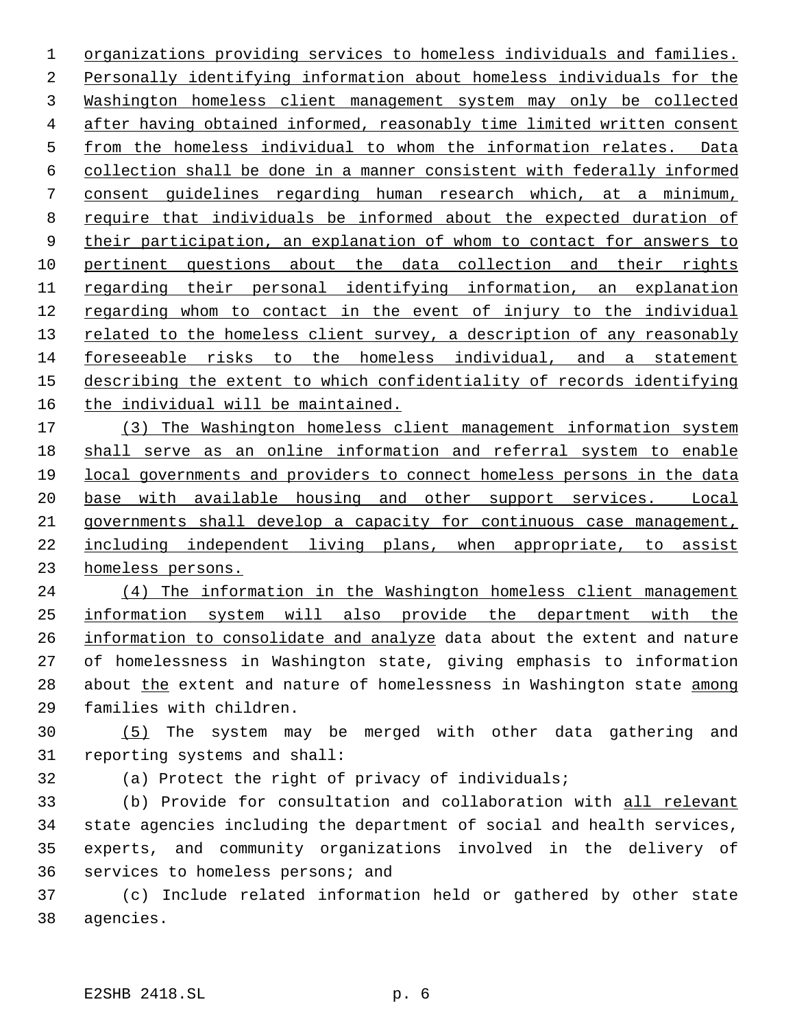organizations providing services to homeless individuals and families. Personally identifying information about homeless individuals for the Washington homeless client management system may only be collected after having obtained informed, reasonably time limited written consent from the homeless individual to whom the information relates. Data collection shall be done in a manner consistent with federally informed consent guidelines regarding human research which, at a minimum, require that individuals be informed about the expected duration of their participation, an explanation of whom to contact for answers to pertinent questions about the data collection and their rights 11 regarding their personal identifying information, an explanation regarding whom to contact in the event of injury to the individual 13 related to the homeless client survey, a description of any reasonably foreseeable risks to the homeless individual, and a statement describing the extent to which confidentiality of records identifying the individual will be maintained.

 (3) The Washington homeless client management information system shall serve as an online information and referral system to enable local governments and providers to connect homeless persons in the data base with available housing and other support services. Local governments shall develop a capacity for continuous case management, including independent living plans, when appropriate, to assist homeless persons.

 (4) The information in the Washington homeless client management information system will also provide the department with the information to consolidate and analyze data about the extent and nature of homelessness in Washington state, giving emphasis to information 28 about the extent and nature of homelessness in Washington state among families with children.

 (5) The system may be merged with other data gathering and reporting systems and shall:

(a) Protect the right of privacy of individuals;

 (b) Provide for consultation and collaboration with all relevant state agencies including the department of social and health services, experts, and community organizations involved in the delivery of services to homeless persons; and

 (c) Include related information held or gathered by other state agencies.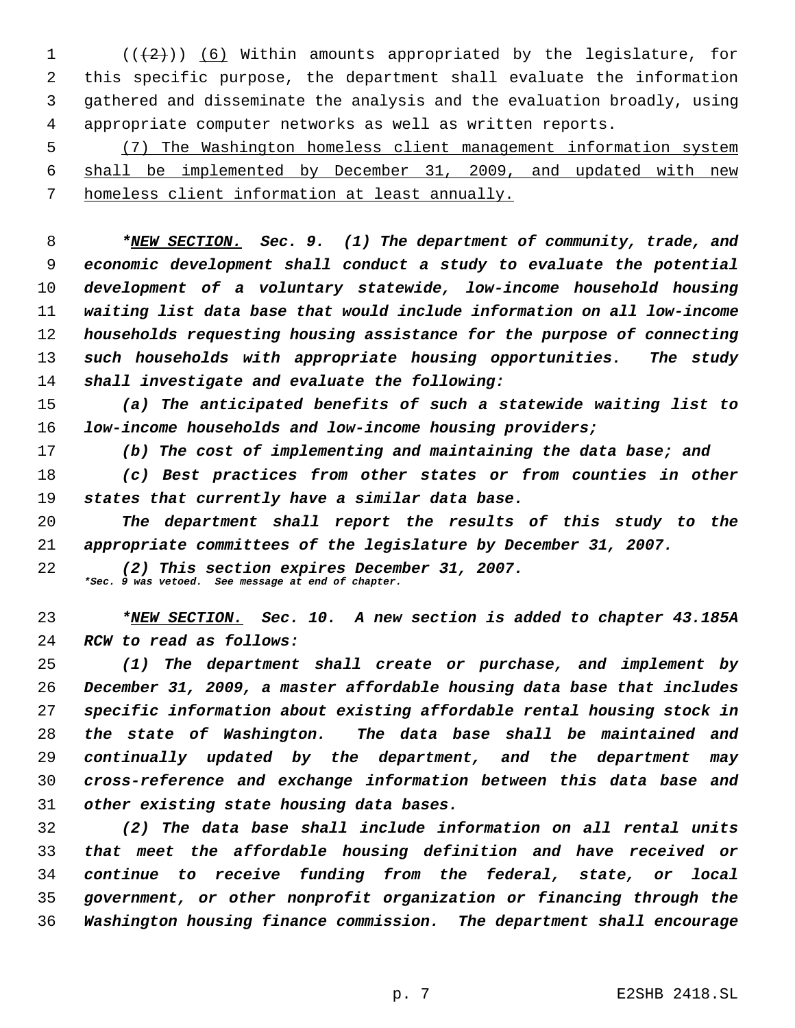$((+2))$  (6) Within amounts appropriated by the legislature, for this specific purpose, the department shall evaluate the information gathered and disseminate the analysis and the evaluation broadly, using appropriate computer networks as well as written reports.

 (7) The Washington homeless client management information system shall be implemented by December 31, 2009, and updated with new homeless client information at least annually.

 *\*NEW SECTION. Sec. 9. (1) The department of community, trade, and economic development shall conduct a study to evaluate the potential development of a voluntary statewide, low-income household housing waiting list data base that would include information on all low-income households requesting housing assistance for the purpose of connecting such households with appropriate housing opportunities. The study shall investigate and evaluate the following:*

 *(a) The anticipated benefits of such a statewide waiting list to low-income households and low-income housing providers;*

*(b) The cost of implementing and maintaining the data base; and*

 *(c) Best practices from other states or from counties in other states that currently have a similar data base.*

 *The department shall report the results of this study to the appropriate committees of the legislature by December 31, 2007.*

 *(2) This section expires December 31, 2007. \*Sec. 9 was vetoed. See message at end of chapter.*

 *\*NEW SECTION. Sec. 10. A new section is added to chapter 43.185A RCW to read as follows:*

 *(1) The department shall create or purchase, and implement by December 31, 2009, a master affordable housing data base that includes specific information about existing affordable rental housing stock in the state of Washington. The data base shall be maintained and continually updated by the department, and the department may cross-reference and exchange information between this data base and other existing state housing data bases.*

 *(2) The data base shall include information on all rental units that meet the affordable housing definition and have received or continue to receive funding from the federal, state, or local government, or other nonprofit organization or financing through the Washington housing finance commission. The department shall encourage*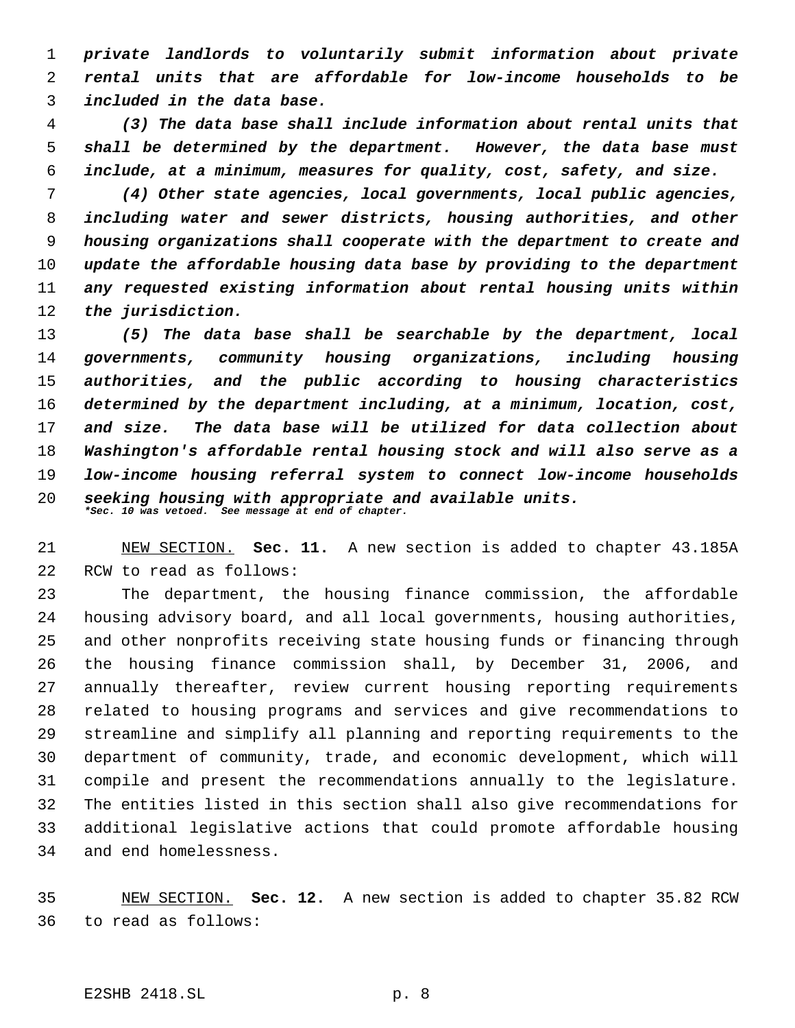*private landlords to voluntarily submit information about private rental units that are affordable for low-income households to be included in the data base.*

 *(3) The data base shall include information about rental units that shall be determined by the department. However, the data base must include, at a minimum, measures for quality, cost, safety, and size.*

 *(4) Other state agencies, local governments, local public agencies, including water and sewer districts, housing authorities, and other housing organizations shall cooperate with the department to create and update the affordable housing data base by providing to the department any requested existing information about rental housing units within the jurisdiction.*

 *(5) The data base shall be searchable by the department, local governments, community housing organizations, including housing authorities, and the public according to housing characteristics determined by the department including, at a minimum, location, cost, and size. The data base will be utilized for data collection about Washington's affordable rental housing stock and will also serve as a low-income housing referral system to connect low-income households seeking housing with appropriate and available units. \*Sec. 10 was vetoed. See message at end of chapter.*

 NEW SECTION. **Sec. 11.** A new section is added to chapter 43.185A RCW to read as follows:

 The department, the housing finance commission, the affordable housing advisory board, and all local governments, housing authorities, and other nonprofits receiving state housing funds or financing through the housing finance commission shall, by December 31, 2006, and annually thereafter, review current housing reporting requirements related to housing programs and services and give recommendations to streamline and simplify all planning and reporting requirements to the department of community, trade, and economic development, which will compile and present the recommendations annually to the legislature. The entities listed in this section shall also give recommendations for additional legislative actions that could promote affordable housing and end homelessness.

 NEW SECTION. **Sec. 12.** A new section is added to chapter 35.82 RCW to read as follows: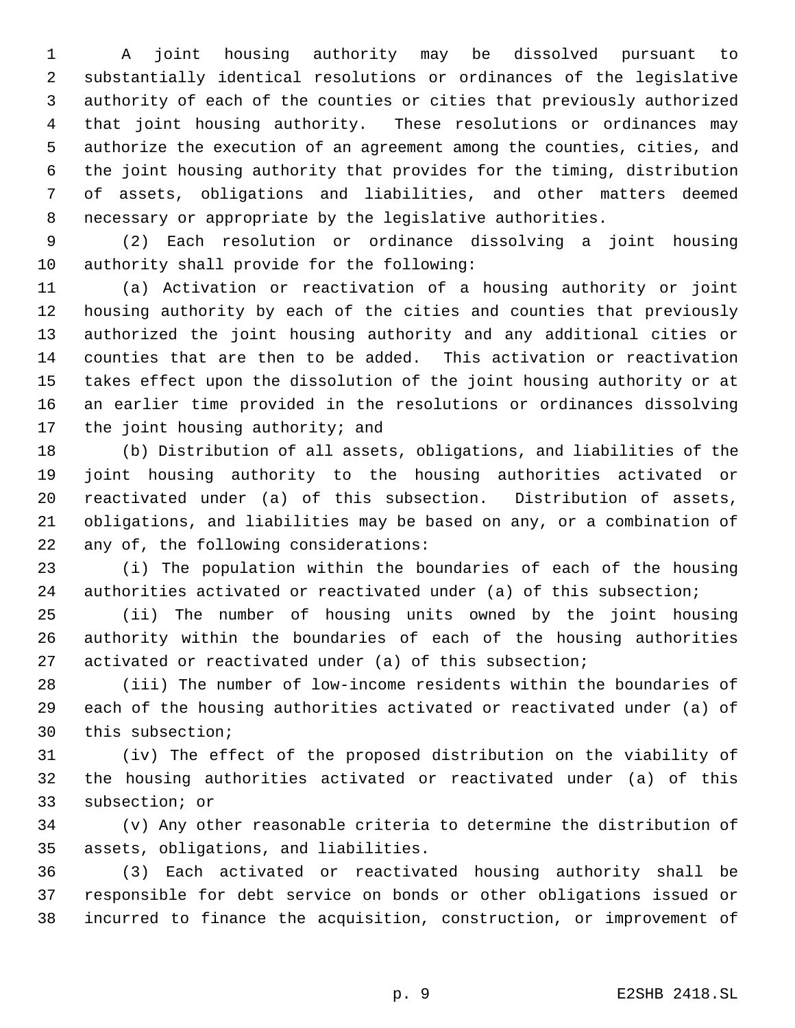A joint housing authority may be dissolved pursuant to substantially identical resolutions or ordinances of the legislative authority of each of the counties or cities that previously authorized that joint housing authority. These resolutions or ordinances may authorize the execution of an agreement among the counties, cities, and the joint housing authority that provides for the timing, distribution of assets, obligations and liabilities, and other matters deemed necessary or appropriate by the legislative authorities.

 (2) Each resolution or ordinance dissolving a joint housing authority shall provide for the following:

 (a) Activation or reactivation of a housing authority or joint housing authority by each of the cities and counties that previously authorized the joint housing authority and any additional cities or counties that are then to be added. This activation or reactivation takes effect upon the dissolution of the joint housing authority or at an earlier time provided in the resolutions or ordinances dissolving 17 the joint housing authority; and

 (b) Distribution of all assets, obligations, and liabilities of the joint housing authority to the housing authorities activated or reactivated under (a) of this subsection. Distribution of assets, obligations, and liabilities may be based on any, or a combination of any of, the following considerations:

 (i) The population within the boundaries of each of the housing authorities activated or reactivated under (a) of this subsection;

 (ii) The number of housing units owned by the joint housing authority within the boundaries of each of the housing authorities activated or reactivated under (a) of this subsection;

 (iii) The number of low-income residents within the boundaries of each of the housing authorities activated or reactivated under (a) of this subsection;

 (iv) The effect of the proposed distribution on the viability of the housing authorities activated or reactivated under (a) of this subsection; or

 (v) Any other reasonable criteria to determine the distribution of assets, obligations, and liabilities.

 (3) Each activated or reactivated housing authority shall be responsible for debt service on bonds or other obligations issued or incurred to finance the acquisition, construction, or improvement of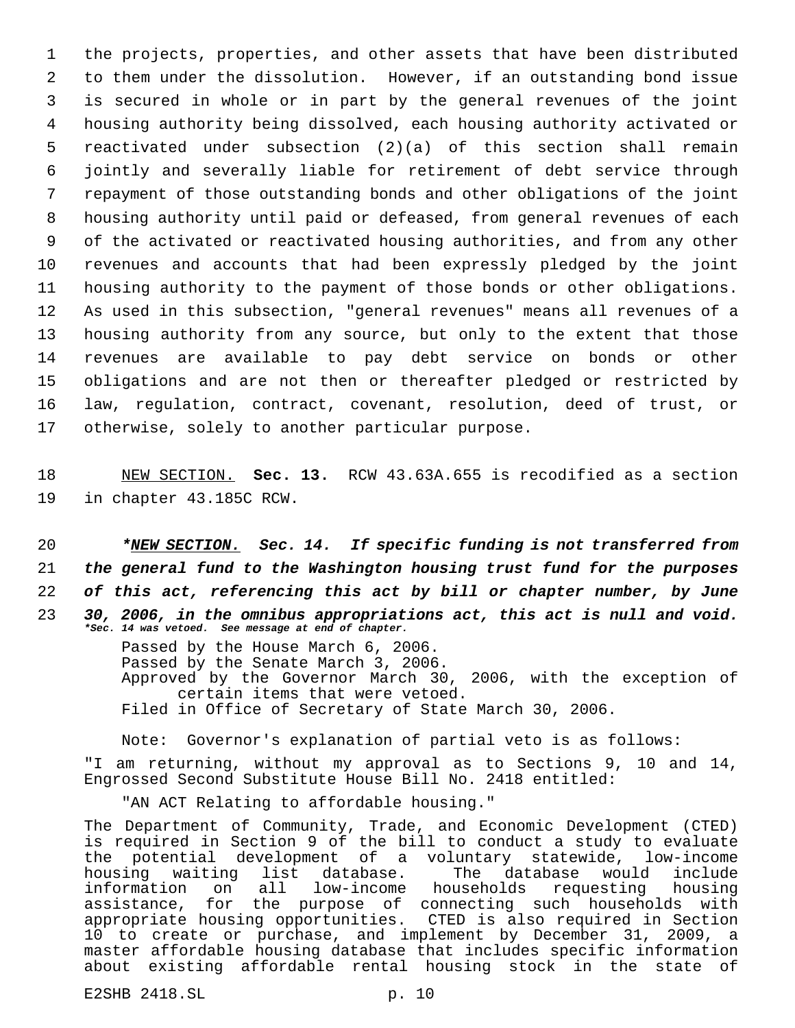the projects, properties, and other assets that have been distributed to them under the dissolution. However, if an outstanding bond issue is secured in whole or in part by the general revenues of the joint housing authority being dissolved, each housing authority activated or reactivated under subsection (2)(a) of this section shall remain jointly and severally liable for retirement of debt service through repayment of those outstanding bonds and other obligations of the joint housing authority until paid or defeased, from general revenues of each of the activated or reactivated housing authorities, and from any other revenues and accounts that had been expressly pledged by the joint housing authority to the payment of those bonds or other obligations. As used in this subsection, "general revenues" means all revenues of a housing authority from any source, but only to the extent that those revenues are available to pay debt service on bonds or other obligations and are not then or thereafter pledged or restricted by law, regulation, contract, covenant, resolution, deed of trust, or otherwise, solely to another particular purpose.

18 NEW SECTION. **Sec. 13.** RCW 43.63A.655 is recodified as a section 19 in chapter 43.185C RCW.

 *\*NEW SECTION. Sec. 14. If specific funding is not transferred from the general fund to the Washington housing trust fund for the purposes of this act, referencing this act by bill or chapter number, by June 30, 2006, in the omnibus appropriations act, this act is null and void. \*Sec. 14 was vetoed. See message at end of chapter.*

> Passed by the House March 6, 2006. Passed by the Senate March 3, 2006. Approved by the Governor March 30, 2006, with the exception of certain items that were vetoed. Filed in Office of Secretary of State March 30, 2006.

Note: Governor's explanation of partial veto is as follows:

"I am returning, without my approval as to Sections 9, 10 and 14, Engrossed Second Substitute House Bill No. 2418 entitled:

"AN ACT Relating to affordable housing."

The Department of Community, Trade, and Economic Development (CTED) is required in Section 9 of the bill to conduct a study to evaluate the potential development of a voluntary statewide, low-income<br>housing waiting list database. The database would include housing waiting list database. The database would include<br>information on all low-income households requesting housing information on all low-income households assistance, for the purpose of connecting such households with appropriate housing opportunities. CTED is also required in Section 10 to create or purchase, and implement by December 31, 2009, a master affordable housing database that includes specific information about existing affordable rental housing stock in the state of

E2SHB 2418.SL p. 10